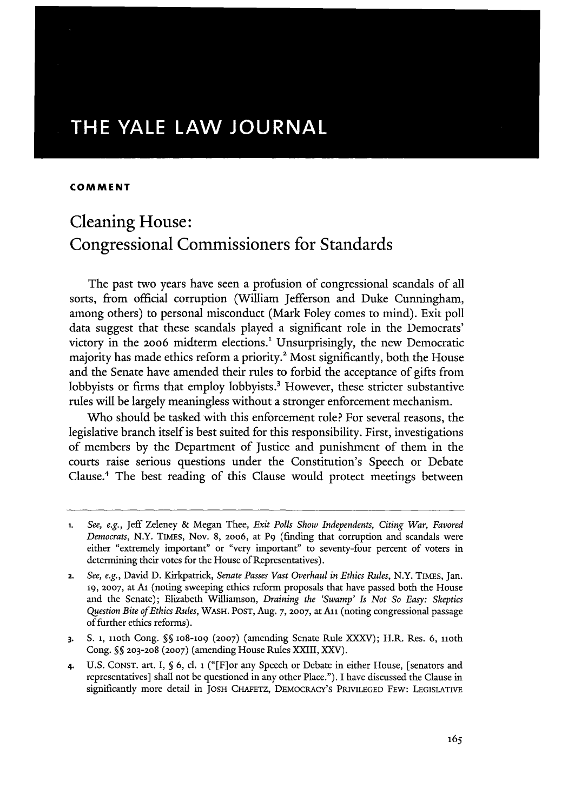# **THE YALE LAW JOURNAL**

#### **COMMENT**

# Cleaning House: Congressional Commissioners for Standards

The past two years have seen a profusion of congressional scandals of all sorts, from official corruption (William Jefferson and Duke Cunningham, among others) to personal misconduct (Mark Foley comes to mind). Exit poll data suggest that these scandals played a significant role in the Democrats' victory in the 2006 midterm elections.<sup>1</sup> Unsurprisingly, the new Democratic majority has made ethics reform a priority.<sup>2</sup> Most significantly, both the House and the Senate have amended their rules to forbid the acceptance of gifts from lobbyists or firms that employ lobbyists.<sup>3</sup> However, these stricter substantive rules will be largely meaningless without a stronger enforcement mechanism.

Who should be tasked with this enforcement role? **For** several reasons, the legislative branch itself is best suited for this responsibility. First, investigations of members by the Department of Justice and punishment of them in the courts raise serious questions under the Constitution's Speech or Debate Clause.4 The best reading of this Clause would protect meetings between

**<sup>1.</sup>** *See, e.g.,* Jeff Zeleney **&** Megan Thee, *Exit Polls Show Independents, Citing War, Favored Democrats,* N.Y. TiMES, Nov. **8, 20o6,** at P9 (finding that corruption and scandals were either "extremely important" or "very important" to seventy-four percent of voters in determining their votes for the House of Representatives).

<sup>2.</sup> *See, e.g.,* David **D.** Kirkpatrick, *Senate Passes Vast Overhaul in Ethics Rules,* N.Y. TIMES, Jan. **19, 2007,** at Ai (noting sweeping ethics reform proposals that have passed both the House and the Senate); Elizabeth Williamson, *Draining the 'Swamp' Is Not So Easy: Skeptics Question Bite of Ethics Rules,* WASH. **POST,** Aug. 7, **2007,** at **All** (noting congressional passage of further ethics reforms).

**<sup>3.</sup> S. 1,** noth Cong. **§§ lo8-109 (2007)** (amending Senate Rule XXXV); H.R. Res. 6, iioth Cong. § 203-208 **(2007)** (amending House Rules XXIII, XXV).

**<sup>4.</sup>** U.S. **CONST.** art. I, **§** 6, cl. **i** ("[F]or any Speech or Debate in either House, [senators and representatives] shall not be questioned in any other Place."). I have discussed the Clause in significantly more detail in **JOSH** CHAFETZ, **DEMOCRACY'S** PRIVILEGED FEW: LEGISLATIVE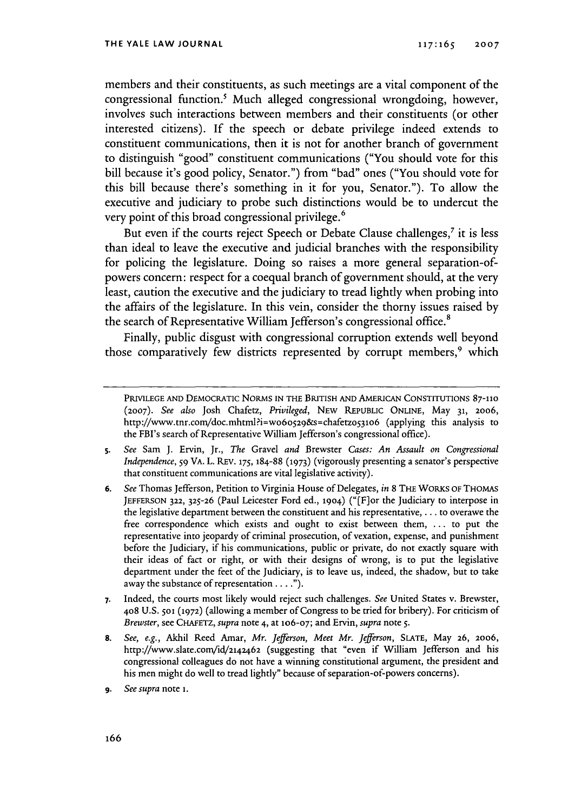members and their constituents, as such meetings are a vital component of the congressional function.' Much alleged congressional wrongdoing, however, involves such interactions between members and their constituents (or other interested citizens). If the speech or debate privilege indeed extends to constituent communications, then it is not for another branch of government to distinguish "good" constituent communications ("You should vote for this bill because it's good policy, Senator.") from "bad" ones ("You should vote for this bill because there's something in it for you, Senator."). To allow the executive and judiciary to probe such distinctions would be to undercut the very point of this broad congressional privilege.<sup>6</sup>

But even if the courts reject Speech or Debate Clause challenges,<sup>7</sup> it is less than ideal to leave the executive and judicial branches with the responsibility for policing the legislature. Doing so raises a more general separation-ofpowers concern: respect for a coequal branch of government should, at the very least, caution the executive and the judiciary to tread lightly when probing into the affairs of the legislature. In this vein, consider the thorny issues raised by the search of Representative William Jefferson's congressional office.<sup>8</sup>

Finally, public disgust with congressional corruption extends well beyond those comparatively few districts represented by corrupt members,<sup>9</sup> which

- **5.** *See* Sam **J.** Ervin, Jr., *The* Gravel *and* Brewster *Cases: An Assault on Congressional Independence, 59* VA. L. REV. **175,** 184-88 **(1973)** (vigorously presenting a senator's perspective that constituent communications are vital legislative activity).
- **6.** *See* Thomas Jefferson, Petition to Virginia House of Delegates, *in* 8 THE WORKS OF **THOMAS JEFFERSON 322, 325-26** (Paul Leicester Ford ed., 1904) ("[Flor the Judiciary to interpose in the legislative department between the constituent and his representative,... to overawe the free correspondence which exists and ought to exist between them, ... to put the representative into jeopardy of criminal prosecution, of vexation, expense, and punishment before the Judiciary, if his communications, public or private, do not exactly square with their ideas of fact or right, or with their designs of wrong, is to put the legislative department under the feet of the Judiciary, is to leave us, indeed, the shadow, but to take away the substance of representation. **.. ").**
- **7.** Indeed, the courts most likely would reject such challenges. *See* United States v. Brewster, **408** U.S. **501 (1972)** (allowing a member of Congress to be tried for bribery). For criticism of *Brewster,* see CHAFETZ, *supra* note 4, at 1O6-07; and Ervin, *supra* note **5.**
- **8.** *See, e.g.,* Akhil Reed Amar, *Mr. Jefferson, Meet Mr. Jefferson,* **SLATE,** May **26, 2006,** http://www.slate.com/id/2142462 (suggesting that "even if William Jefferson and his congressional colleagues do not have a winning constitutional argument, the president and his men might do well to tread lightly" because of separation-of-powers concerns).
- **9.** *See supra* note **I.**

PRIVILEGE AND DEMOcRATIC NORMS **IN** THE BRITISH **AND AMERICAN** CONSTITUTIONS **87-110 (2007).** *See also* Josh Chafetz, *Privileged,* NEW REPUBLIC ONLINE, May **31,** 2006, http://www.tnr.com/doc.mhtml?i=w060529&s=chafetz053106 (applying this analysis to the FBI's search of Representative William Jefferson's congressional office).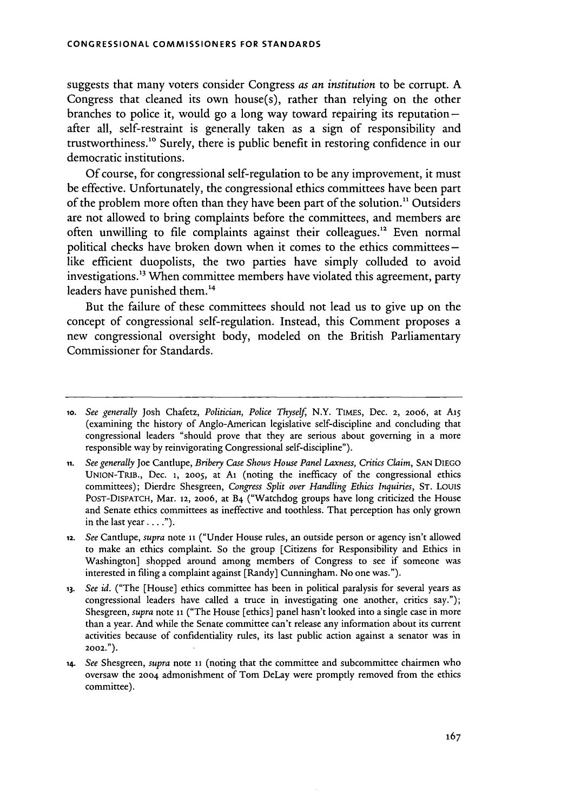suggests that many voters consider Congress *as an institution* to be corrupt. A Congress that cleaned its own house(s), rather than relying on the other branches to police it, would go a long way toward repairing its reputationafter all, self-restraint is generally taken as a sign of responsibility and trustworthiness." Surely, there is public benefit in restoring confidence in our democratic institutions.

Of course, for congressional self-regulation to be any improvement, it must be effective. Unfortunately, the congressional ethics committees have been part of the problem more often than they have been part of the solution." Outsiders are not allowed to bring complaints before the committees, and members are often unwilling to file complaints against their colleagues.<sup>12</sup> Even normal political checks have broken down when it comes to the ethics committees  like efficient duopolists, the two parties have simply colluded to avoid investigations.<sup>13</sup> When committee members have violated this agreement, party leaders have punished them.<sup>14</sup>

But the failure of these committees should not lead us to give up on the concept of congressional self-regulation. Instead, this Comment proposes a new congressional oversight body, modeled on the British Parliamentary Commissioner for Standards.

**ii.** *See generally* Joe Cantlupe, *Bribery Case Shows House Panel Laxness, Critics Claim,* SAN DIEGO UNION-TRiB., Dec. **1,** 2005, at **Al** (noting the inefficacy of the congressional ethics committees); Dierdre Shesgreen, *Congress Split over Handling Ethics Inquiries,* ST. Louis POST-DISPATCH, Mar. 12, 2006, at B4 ("Watchdog groups have long criticized the House and Senate ethics committees as ineffective and toothless. That perception has only grown in the last year **... ").**

- 12. *See* Cantlupe, *supra* note **11** ("Under House rules, an outside person or agency isn't allowed to make an ethics complaint. So the group [Citizens for Responsibility and Ethics in Washington] shopped around among members of Congress to see if someone was interested in filing a complaint against [Randy] Cunningham. No one was.").
- **13.** *See* **id.** ("The [House] ethics committee has been in political paralysis for several years as congressional leaders have called a truce in investigating one another, critics say."); Shesgreen, *supra* note **11** ("The House [ethics] panel hasn't looked into a single case in more than a year. And while the Senate committee can't release any information about its current activities because of confidentiality rules, its last public action against a senator was in **2002.").**
- 14. *See* Shesgreen, *supra* note **11** (noting that the committee and subcommittee chairmen who oversaw the 2004 admonishment of Tom DeLay were promptly removed from the ethics committee).

*<sup>1</sup>o. See generally* Josh Chafetz, *Politician, Police Thyself,* N.Y. TIMEs, Dec. 2, **2006,** at AiS (examining the history of Anglo-American legislative self-discipline and concluding that congressional leaders "should prove that they are serious about governing in a more responsible way by reinvigorating Congressional self-discipline").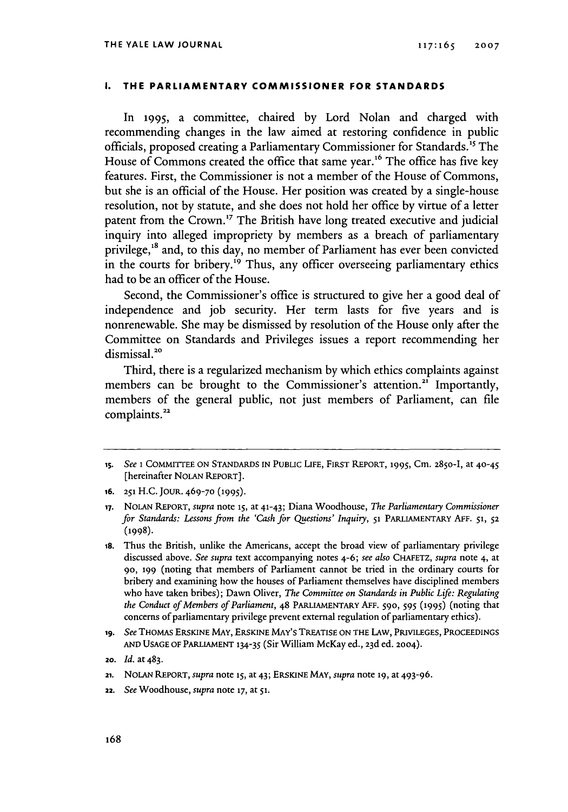#### **I. THE PARLIAMENTARY COMMISSIONER FOR STANDARDS**

In 1995, a committee, chaired by Lord Nolan and charged with recommending changes in the law aimed at restoring confidence in public officials, proposed creating a Parliamentary Commissioner for Standards.<sup>15</sup> The House of Commons created the office that same year.<sup>16</sup> The office has five key features. First, the Commissioner is not a member of the House of Commons, but she is an official of the House. Her position was created by a single-house resolution, not by statute, and she does not hold her office by virtue of a letter patent from the Crown.<sup>17</sup> The British have long treated executive and judicial inquiry into alleged impropriety by members as a breach of parliamentary privilege,<sup>18</sup> and, to this day, no member of Parliament has ever been convicted in the courts for bribery.<sup>19</sup> Thus, any officer overseeing parliamentary ethics had to be an officer of the House.

Second, the Commissioner's office is structured to give her a good deal of independence and job security. Her term lasts for five years and is nonrenewable. She may be dismissed by resolution of the House only after the Committee on Standards and Privileges issues a report recommending her dismissal.<sup>20</sup>

Third, there is a regularized mechanism by which ethics complaints against members can be brought to the Commissioner's attention.<sup>21</sup> Importantly, members of the general public, not just members of Parliament, can file complaints.<sup>22</sup>

- **16. 251** H.C. JOUR. **469-70 (1995).**
- **17.** NOLAN REPORT, *supra* note **15,** at 41-43; Diana Woodhouse, *The Parliamentary Commissioner for Standards: Lessons from the 'Cash for Questions' Inquiry,* **51** PARLIAMENTARY **AFF. 51, 52 (1998)-**
- **18.** Thus the British, unlike the Americans, accept the broad view of parliamentary privilege discussed above. *See supra* text accompanying notes 4-6; *see also* CHAFETZ, *supra* note 4, at **90, 199** (noting that members of Parliament cannot be tried in the ordinary courts for bribery and examining how the houses of Parliament themselves have disciplined members who have taken bribes); Dawn Oliver, *The Committee on Standards in Public Life: Regulating the Conduct of Members of Parliament,* 48 PARLIAMENTARY **AFF. 590,** 595 **(1995)** (noting that concerns of parliamentary privilege prevent external regulation of parliamentary ethics).
- **ig.** *See* THOMAS ERSKINE MAY, **ERSKINE** MAY'S TREATISE **ON** THE LAW, PRIVILEGES, PROCEEDINGS **AND USAGE** OF PARLIAMENT **134-35** (Sir William McKay ed., 23d ed. 2004).
- **20.** *Id.* at 483.
- 21. NOLAN REPORT, *supra* note **15,** at 43; ERSKINE MAY, *supra* note **19,** at 493-96.
- 22. *See* Woodhouse, *supra* note **17,** at **51.**

*<sup>15.</sup>* See **1 COMMITTEE ON STANDARDS IN** PUBLIC **LIFE,** FIRST REPORT, **1995,** Cm. **2850-I,** at 40-45 [hereinafter NOLAN REPORT].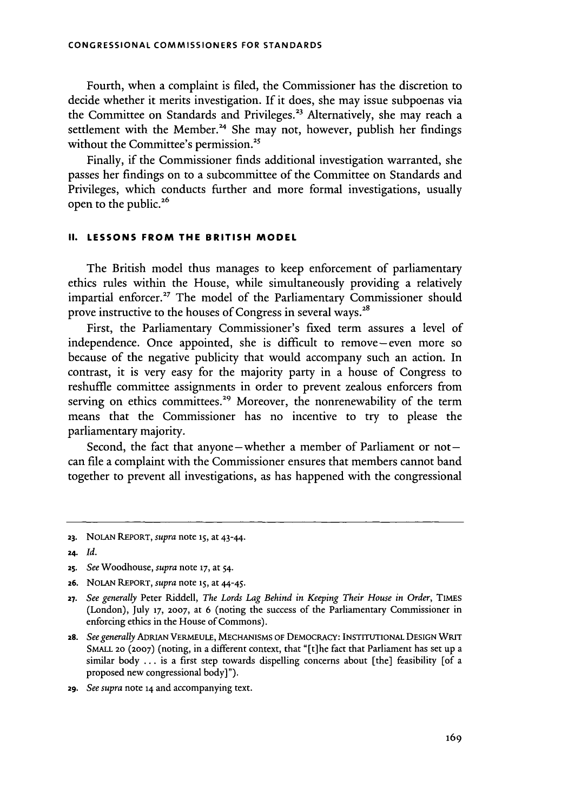Fourth, when a complaint is filed, the Commissioner has the discretion to decide whether it merits investigation. If it does, she may issue subpoenas via the Committee on Standards and Privileges.<sup>23</sup> Alternatively, she may reach a settlement with the Member.<sup>24</sup> She may not, however, publish her findings without the Committee's permission.<sup>25</sup>

Finally, if the Commissioner finds additional investigation warranted, she passes her findings on to a subcommittee of the Committee on Standards and Privileges, which conducts further and more formal investigations, usually open to the public.<sup>26</sup>

## **II. LESSONS FROM THE BRITISH MODEL**

The British model thus manages to keep enforcement of parliamentary ethics rules within the House, while simultaneously providing a relatively impartial enforcer.<sup>27</sup> The model of the Parliamentary Commissioner should prove instructive to the houses of Congress in several ways.<sup>28</sup>

First, the Parliamentary Commissioner's fixed term assures a level of independence. Once appointed, she is difficult to remove-even more so because of the negative publicity that would accompany such an action. In contrast, it is very easy for the majority party in a house of Congress to reshuffle committee assignments in order to prevent zealous enforcers from serving on ethics committees.<sup>29</sup> Moreover, the nonrenewability of the term means that the Commissioner has no incentive to try to please the parliamentary majority.

Second, the fact that anyone-whether a member of Parliament or  $not$ can file a complaint with the Commissioner ensures that members cannot band together to prevent all investigations, as has happened with the congressional

29. *See supra* note **14** and accompanying text.

**<sup>23.</sup>** NOLAN REPORT, *supra* note 15, at 43-44.

**<sup>24.</sup>** *Id.*

<sup>25.</sup> *See* Woodhouse, *supra* note **17,** at *54.*

**<sup>26.</sup>** NOLAN REPORT, *supra* note **15,** at 44-45.

**<sup>27.</sup>** *See generally* Peter Riddell, *The Lords Lag Behind in Keeping Their House in Order,* TIMES (London), July 17, 2007, at 6 (noting the success of the Parliamentary Commissioner in enforcing ethics in the House of Commons).

*<sup>28.</sup> See generally* ADRIAN VERMEuLE, **MECHANISMS OF** DEMOCRACY: INSTITUTIONAL **DESIGN** WRIT **SMALL** 20 **(2007)** (noting, in a different context, that "[t]he fact that Parliament has set up a similar body ... is a first step towards dispelling concerns about [the] feasibility [of a proposed new congressional body]").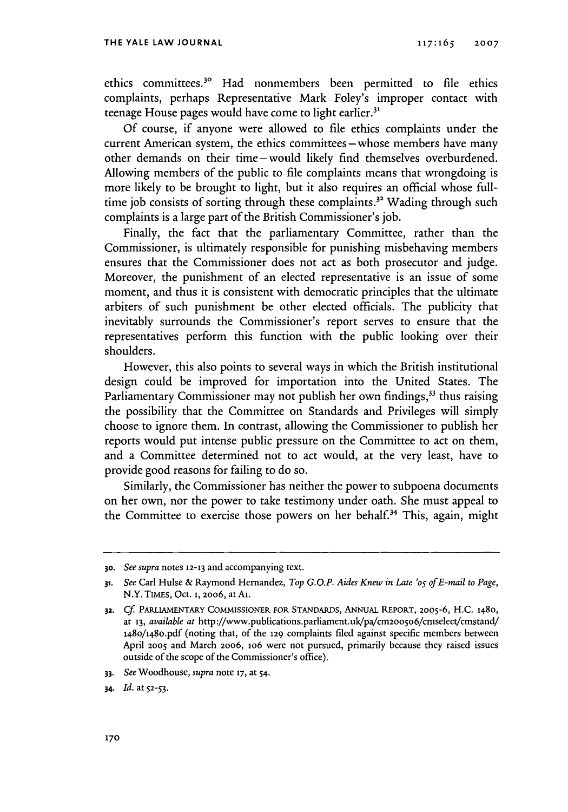ethics committees." Had nonmembers been permitted to file ethics complaints, perhaps Representative Mark Foley's improper contact with teenage House pages would have come to light earlier.<sup>31</sup>

Of course, if anyone were allowed to file ethics complaints under the current American system, the ethics committees – whose members have many other demands on their time-would likely find themselves overburdened. Allowing members of the public to file complaints means that wrongdoing is more likely to be brought to light, but it also requires an official whose fulltime job consists of sorting through these complaints.<sup>32</sup> Wading through such complaints is a large part of the British Commissioner's job.

Finally, the fact that the parliamentary Committee, rather than the Commissioner, is ultimately responsible for punishing misbehaving members ensures that the Commissioner does not act as both prosecutor and judge. Moreover, the punishment of an elected representative is an issue of some moment, and thus it is consistent with democratic principles that the ultimate arbiters of such punishment be other elected officials. The publicity that inevitably surrounds the Commissioner's report serves to ensure that the representatives perform this function with the public looking over their shoulders.

However, this also points to several ways in which the British institutional design could be improved for importation into the United States. The Parliamentary Commissioner may not publish her own findings,<sup>33</sup> thus raising the possibility that the Committee on Standards and Privileges will simply choose to ignore them. In contrast, allowing the Commissioner to publish her reports would put intense public pressure on the Committee to act on them, and a Committee determined not to act would, at the very least, have to provide good reasons for failing to do so.

Similarly, the Commissioner has neither the power to subpoena documents on her own, nor the power to take testimony under oath. She must appeal to the Committee to exercise those powers on her behalf.<sup>34</sup> This, again, might

**<sup>30.</sup>** *See supra* notes **12-13** and accompanying text.

*<sup>31.</sup> See* Carl Hulse & Raymond Hemandez, *Top G.O.P. Aides Knew in Late 'os of E-mail to Page,* N.Y. TIMES, Oct. **1,** 2006, atAl.

**<sup>32.</sup>** *Cf.* PARLIAMENTARY **COMMISSIONER FOR** STANDARDS, ANNUAL REPORT, 2005-6, **H.C. 1480,** at **13,** *available at* http://www.publications.parliament.uk/pa/cm200so6/cmselect/cmstand/ 148o/14 8o.pdf (noting that, of the 129 complaints filed against specific members between April 2005 and March 2006, io6 were not pursued, primarily because they raised issues outside of the scope of the Commissioner's office).

*<sup>33.</sup> See* Woodhouse, *supra* note **17,** at 54.

*<sup>34.</sup> Id.* at **52-53.**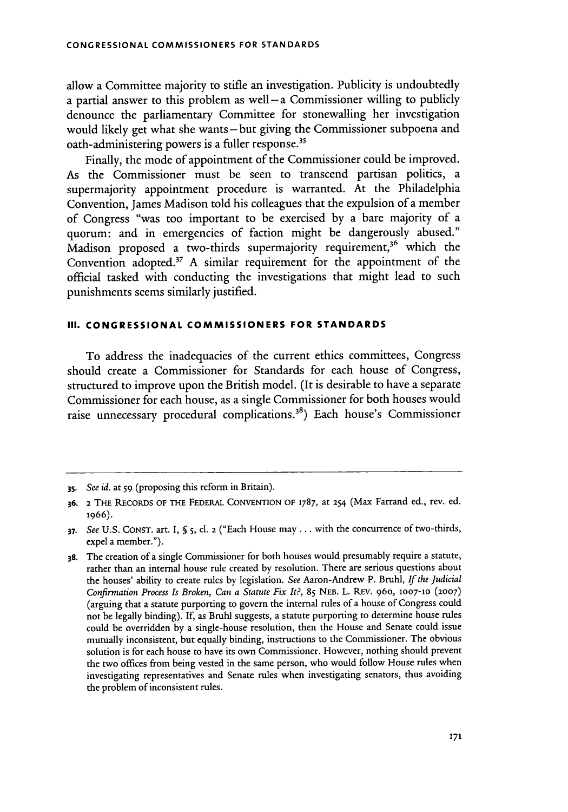allow a Committee majority to stifle an investigation. Publicity is undoubtedly a partial answer to this problem as well-a Commissioner willing to publicly denounce the parliamentary Committee for stonewalling her investigation would likely get what she wants-but giving the Commissioner subpoena and oath-administering powers is a fuller response.<sup>3</sup>

Finally, the mode of appointment of the Commissioner could be improved. As the Commissioner must be seen to transcend partisan politics, a supermajority appointment procedure is warranted. At the Philadelphia Convention, James Madison told his colleagues that the expulsion of a member of Congress "was too important to be exercised by a bare majority of a quorum: and in emergencies of faction might be dangerously abused." Madison proposed a two-thirds supermajority requirement,<sup>36</sup> which the Convention adopted.37 A similar requirement for the appointment of the official tasked with conducting the investigations that might lead to such punishments seems similarly justified.

### **III. CONGRESSIONAL COMMISSIONERS FOR STANDARDS**

To address the inadequacies of the current ethics committees, Congress should create a Commissioner for Standards for each house of Congress, structured to improve upon the British model. (It is desirable to have a separate Commissioner for each house, as a single Commissioner for both houses would raise unnecessary procedural complications.<sup>38</sup>) Each house's Commissioner

*<sup>35.</sup>* See *id.* at 59 (proposing this reform in Britain).

**<sup>36. 2</sup> THE** RECORDS **OF** THE FEDERAL **CONVENTION** OF **1787,** at 254 (Max Farrand ed., rev. ed. **1966).**

**<sup>37.</sup>** See U.S. **CONST.** art. I, *§* 5, **cl. 2** ("Each House may **...** with the concurrence of two-thirds, expel a member.").

**<sup>38.</sup>** The creation of a single Commissioner for both houses would presumably require a statute, rather than an internal house rule created by resolution. There are serious questions about the houses' ability to create rules by legislation. See Aaron-Andrew P. Bruhl, *If the Judicial Confirmation Process Is Broken, Can a Statute Fix It?,* **85 NEB.** L. REV. 960, **1007-10 (2007)** (arguing that a statute purporting to govern the internal rules of a house of Congress could not be legally binding). If, as Bruhl suggests, a statute purporting to determine house rules could be overridden by a single-house resolution, then the House and Senate could issue mutually inconsistent, but equally binding, instructions to the Commissioner. The obvious solution is for each house to have its own Commissioner. However, nothing should prevent the two offices from being vested in the same person, who would follow House rules when investigating representatives and Senate rules when investigating senators, thus avoiding the problem of inconsistent rules.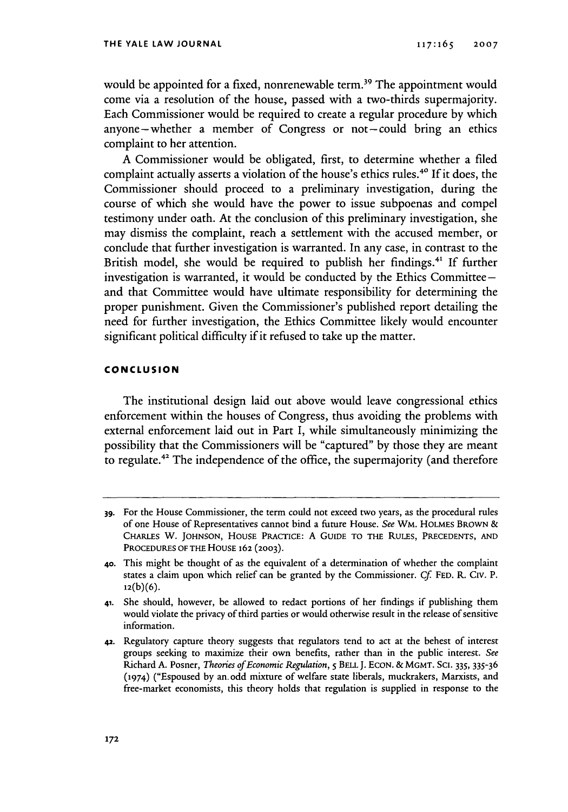would be appointed for a fixed, nonrenewable term.<sup>39</sup> The appointment would come via a resolution of the house, passed with a two-thirds supermajority. Each Commissioner would be required to create a regular procedure by which anyone-whether a member of Congress or not-could bring an ethics complaint to her attention.

A Commissioner would be obligated, first, to determine whether a filed complaint actually asserts a violation of the house's ethics rules.<sup>40</sup> If it does, the Commissioner should proceed to a preliminary investigation, during the course of which she would have the power to issue subpoenas and compel testimony under oath. At the conclusion of this preliminary investigation, she may dismiss the complaint, reach a settlement with the accused member, or conclude that further investigation is warranted. In any case, in contrast to the British model, she would be required to publish her findings.<sup>41</sup> If further investigation is warranted, it would be conducted by the Ethics Committeeand that Committee would have ultimate responsibility for determining the proper punishment. Given the Commissioner's published report detailing the need for further investigation, the Ethics Committee likely would encounter significant political difficulty if it refused to take up the matter.

### **CONCLUSION**

The institutional design laid out above would leave congressional ethics enforcement within the houses of Congress, thus avoiding the problems with external enforcement laid out in Part I, while simultaneously minimizing the possibility that the Commissioners will be "captured" by those they are meant to regulate.<sup>42</sup> The independence of the office, the supermajority (and therefore

**<sup>39.</sup>** For the House Commissioner, the term could not exceed two years, as the procedural rules of one House of Representatives cannot bind a future House. *See* WM. HOLMES BROWN & CHARLES W. **JOHNSON, HOUSE** PRACTICE: A GUIDE **TO THE** RULES, **PRECEDENTS, AND** PROCEDURES OF THE HOUSE 162 **(2003).**

**<sup>40.</sup>** This might be thought of as the equivalent of a determination of whether the complaint states a claim upon which relief can be granted by the Commissioner. Cf **FED.** R. **Civ.** P. **12(b)(6).**

<sup>41.</sup> She should, however, be allowed to redact portions of her findings if publishing them would violate the privacy of third parties or would otherwise result in the release of sensitive information.

**<sup>42.</sup>** Regulatory capture theory suggests that regulators tend to act at the behest of interest groups seeking to maximize their own benefits, rather than in the public interest. *See* Richard A. Posner, *Theories of Economic Regulation,* 5 BELL J. ECON. & MGMT. SCl. 335, 335-36 (1974) ("Espoused by an. odd mixture of welfare state liberals, muckrakers, Marxists, and free-market economists, this theory holds that regulation is supplied in response to the